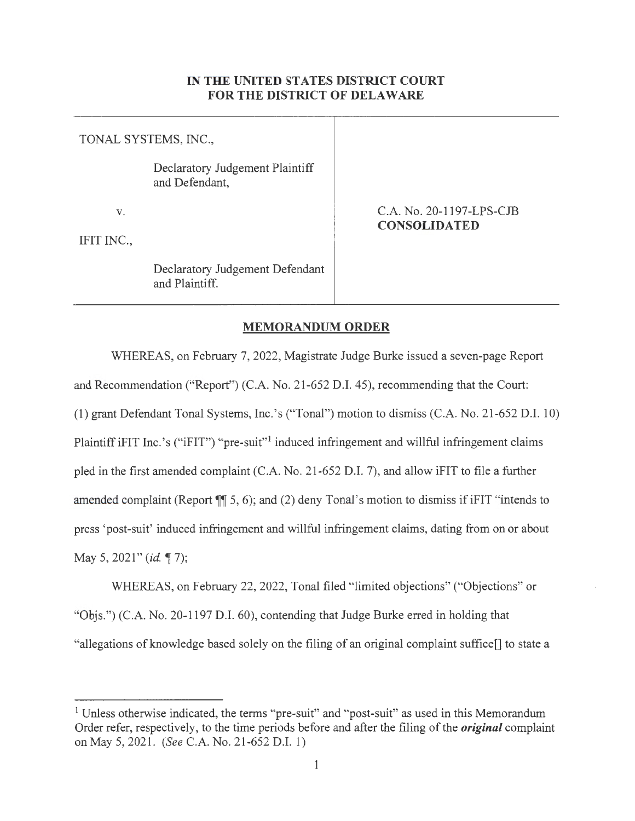## IN **THE UNITED STATES DISTRICT COURT FOR THE DISTRICT OF DELAWARE**

TONAL SYSTEMS, INC.,

Declaratory Judgement Plaintiff and Defendant,

V.

IFIT INC.,

C.A. No. 20-1197-LPS-CJB **CONSOLIDATED** 

Declaratory Judgement Defendant and Plaintiff.

## **MEMORANDUM ORDER**

WHEREAS, on February 7, 2022, Magistrate Judge Burke issued a seven-page Report and Recommendation ("Report") (C.A. No. 21-652 D.I. 45), recommending that the Court: (1) grant Defendant Tonal Systems, Inc.'s ("Tonal") motion to dismiss (C.A. No. 21-652 D.I. 10) Plaintiff iFIT Inc.'s ("iFIT") "pre-suit"<sup>1</sup> induced infringement and willful infringement claims pled in the first amended complaint (C.A. No. 21-652 D.I. 7), and allow iFIT to file a further amended complaint (Report **¶** 5, 6); and (2) deny Tonal's motion to dismiss if iFIT "intends to press 'post-suit' induced infringement and willful infringement claims, dating from on or about May 5, 2021" (*id.* 17);

WHEREAS, on February 22, 2022, Tonal filed "limited objections" ("Objections" or "Objs.") (C.A. No. 20-1197 D.I. 60), contending that Judge Burke erred in holding that "allegations of knowledge based solely on the filing of an original complaint suffice[] to state a

<sup>&</sup>lt;sup>1</sup> Unless otherwise indicated, the terms "pre-suit" and "post-suit" as used in this Memorandum Order refer, respectively, to the time periods before and after the filing of the *original* complaint on May 5, 2021. *(See* C.A. No. 21-652 D.I. 1)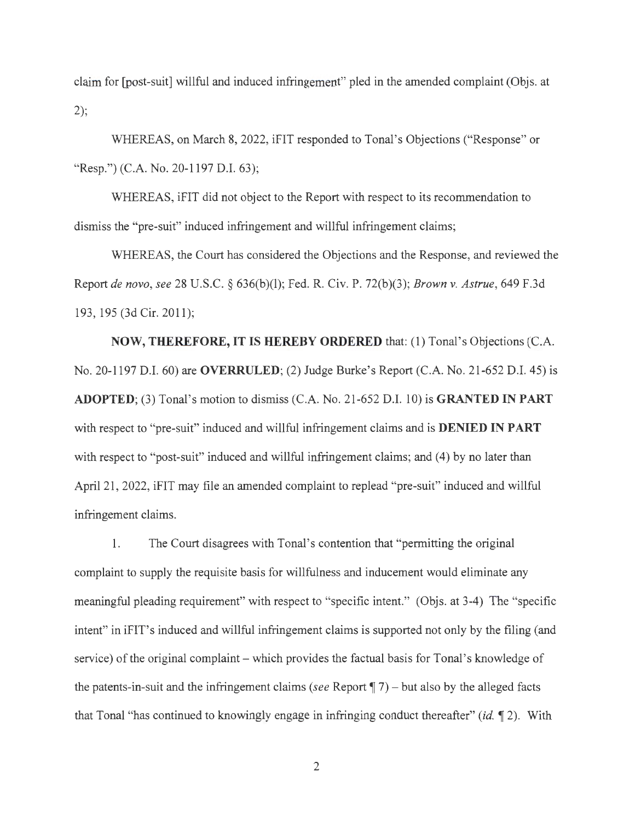claim for [post-suit] willful and induced infringement" pled in the amended complaint (Objs. at 2);

WHEREAS, on March 8, 2022, iFIT responded to Tonal's Objections ("Response" or "Resp.") (C.A. No. 20-1197 D.I. 63);

WHEREAS, iFIT did not object to the Report with respect to its recommendation to dismiss the "pre-suit" induced infringement and willful infringement claims;

WHEREAS, the Court has considered the Objections and the Response, and reviewed the Report *de novo, see* 28 U.S.C. § 636(b)(l); Fed. R. Civ. P. 72(b)(3); *Brown v. Astrue,* 649 F.3d 193, 195 (3d Cir. 2011);

**NOW, THEREFORE, IT IS HEREBY ORDERED** that: (1) Tonal's Objections (C.A. No. 20-1197 D.I. 60) are **OVERRULED;** (2) Judge Burke's Report (C.A. No. 21-652 D.I. 45) is **ADOPTED;** (3) Tonal's motion to dismiss (C.A. No. 21-652 D.I. 10) is **GRANTED IN PART**  with respect to "pre-suit" induced and willful infringement claims and is **DENIED IN PART** with respect to "post-suit" induced and willful infringement claims; and (4) by no later than April 21, 2022, iFIT may file an amended complaint to replead "pre-suit" induced and willful infringement claims.

1. The Court disagrees with Tonal's contention that "permitting the original" complaint to supply the requisite basis for willfulness and inducement would eliminate any meaningful pleading requirement" with respect to "specific intent." (Objs. at 3-4) The "specific intent" in iFIT's induced and willful infringement claims is supported not only by the filing (and service) of the original complaint – which provides the factual basis for Tonal's knowledge of the patents-in-suit and the infringement claims *(see* Report  $\P$  7) – but also by the alleged facts that Tonal "has continued to knowingly engage in infringing conduct thereafter" *(id.* **12).** With

2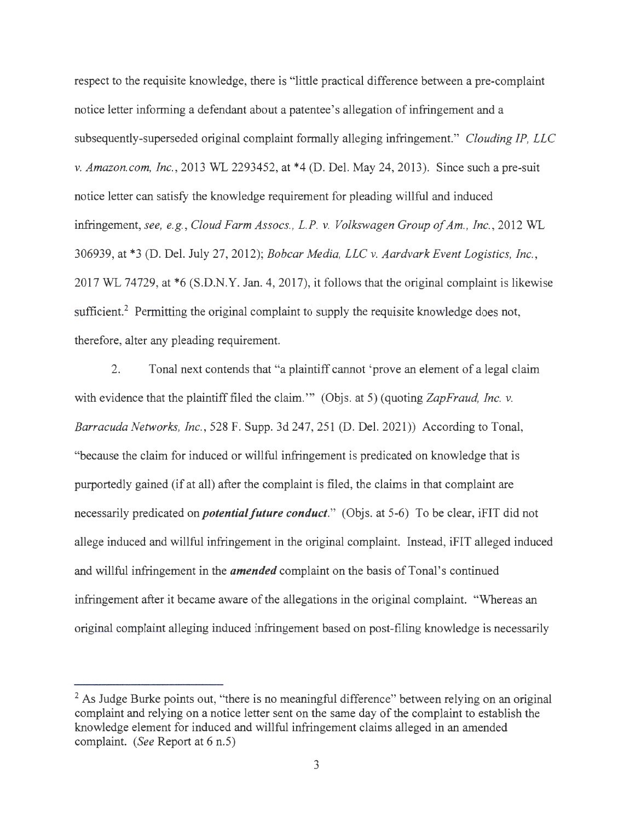respect to the requisite knowledge, there is "little practical difference between a pre-complaint notice letter informing a defendant about a patentee's allegation of infringement and a subsequently-superseded original complaint formally alleging infringement." *Clouding IP, LLC v. Amazon.com, Inc.,* 2013 WL 2293452, at \*4 (D. Del. May 24, 2013). Since such a pre-suit notice letter can satisfy the knowledge requirement for pleading willful and induced infringement, *see, e.g. , Cloud Farm Assocs., L.P. v. Volkswagen Group of Am., Inc.,* 2012 WL 306939, at \*3 (D. Del. July 27, 2012); *Bobcar Media, LLC v. Aardvark Event Logistics, Inc.*, 2017 WL 74729, at \*6 (S.D.N.Y. Jan. 4, 2017), it follows that the original complaint is likewise sufficient.<sup>2</sup> Permitting the original complaint to supply the requisite knowledge does not, therefore, alter any pleading requirement.

2. Tonal next contends that "a plaintiff cannot 'prove an element of a legal claim with evidence that the plaintiff filed the claim." (Objs. at 5) (quoting *ZapFraud, Inc. v. Barracuda Networks, Inc.,* 528 F. Supp. 3d 247,251 (D. Del. 2021)) According to Tonal, "because the claim for induced or willful infringement is predicated on knowledge that is purportedly gained (if at all) after the complaint is filed, the claims in that complaint are necessarily predicated on *potential future conduct.*" (Objs. at 5-6) To be clear, iFIT did not allege induced and willful infringement in the original complaint. Instead, iFIT alleged induced and willful infringement in the *amended* complaint on the basis of Tonal's continued infringement after it became aware of the allegations in the original complaint. "Whereas an original complaint alleging induced infringement based on post-filing knowledge is necessarily

 $<sup>2</sup>$  As Judge Burke points out, "there is no meaningful difference" between relying on an original</sup> complaint and relying on a notice letter sent on the same day of the complaint to establish the knowledge element for induced and willful infringement claims alleged in an amended complaint. *(See* Report at 6 n.5)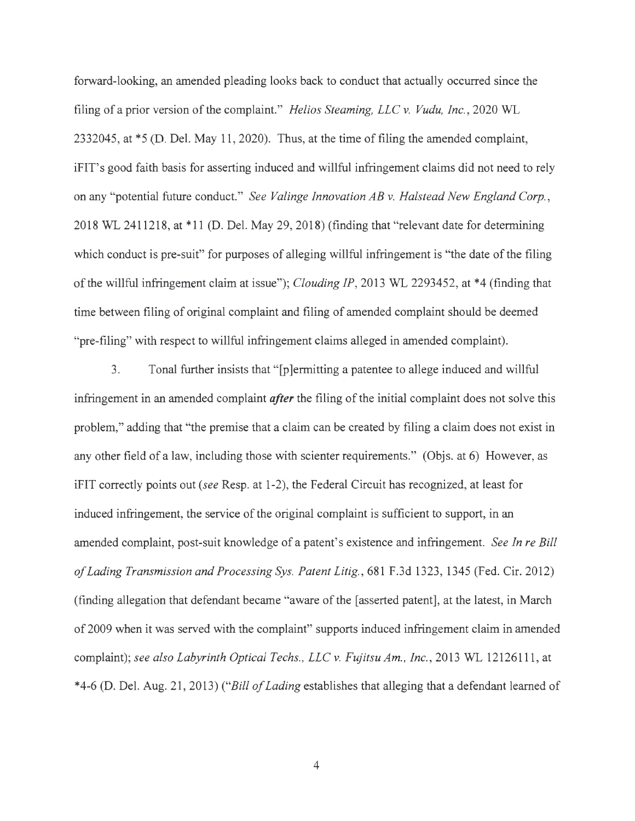forward-looking, an amended pleading looks back to conduct that actually occurred since the filing of a prior version of the complaint." *Helios Steaming, LLC v. Vudu, Inc.,* 2020 WL 2332045, at \*5 (D. Del. May 11, 2020). Thus, at the time of filing the amended complaint, iFIT' s good faith basis for asserting induced and willful infringement claims did not need to rely on any "potential future conduct." *See Valinge Innovation AB v. Halstead New England Corp.,*  2018 WL 2411218, at \*11 (D. Del. May 29, 2018) (finding that "relevant date for determining which conduct is pre-suit" for purposes of alleging willful infringement is "the date of the filing of the willful infringement claim at issue"); *Clouding IP,* 2013 WL 2293452, at \*4 (finding that time between filing of original complaint and filing of amended complaint should be deemed "pre-filing" with respect to willful infringement claims alleged in amended complaint).

3. Tonal further insists that "[p]ermitting a patentee to allege induced and willful infringement in an amended complaint *after* the filing of the initial complaint does not solve this problem," adding that "the premise that a claim can be created by filing a claim does not exist in any other field of a law, including those with scienter requirements." (Objs. at 6) However, as iFIT correctly points out *(see* Resp. at 1-2), the Federal Circuit has recognized, at least for induced infringement, the service of the original complaint is sufficient to support, in an amended complaint, post-suit knowledge of a patent's existence and infringement. *See In re Bill of Lading Transmission and Processing Sys. Patent Litig.,* 681 F.3d 1323, 1345 (Fed. Cir. 2012) (finding allegation that defendant became "aware of the [asserted patent], at the latest, in March of 2009 when it was served with the complaint" supports induced infringement claim in amended complaint); see also Labyrinth Optical Techs., LLC v. Fujitsu Am., Inc., 2013 WL 12126111, at \*4-6 (D. Del. Aug. 21, 2013) *("Bill of Lading* establishes that alleging that a defendant learned of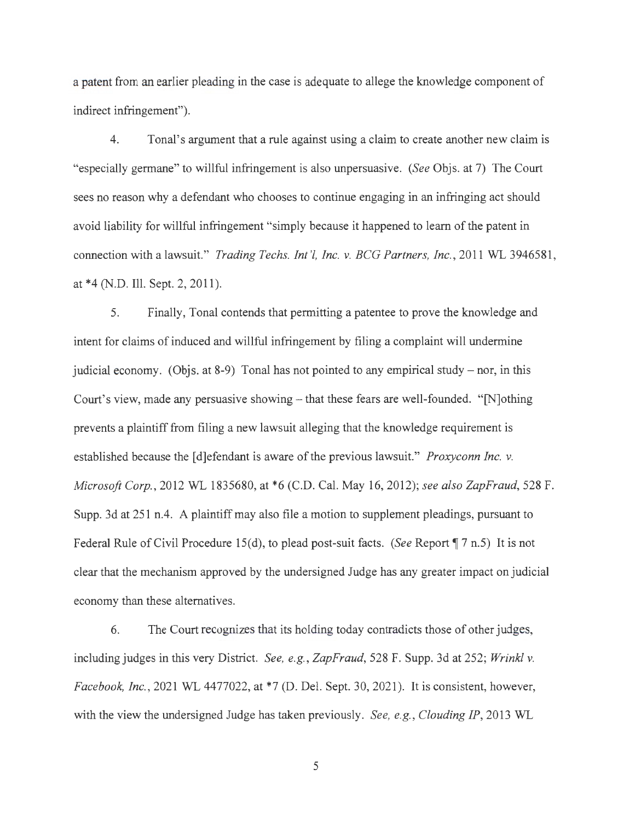a patent from an earlier pleading in the case is adequate to allege the knowledge component of indirect infringement").

4. Tonal's argument that a rule against using a claim to create another new claim is "especially germane" to willful infringement is also unpersuasive. *(See* Objs. at 7) The Court sees no reason why a defendant who chooses to continue engaging in an infringing act should avoid liability for willful infringement "simply because it happened to learn of the patent in connection with a lawsuit." *Trading Techs. Int '!, Inc. v. ECG Partners, Inc. ,* 2011 WL 3946581 , at \*4 (N.D. Ill. Sept. 2, 2011).

5. Finally, Tonal contends that permitting a patentee to prove the knowledge and intent for claims of induced and willful infringement by filing a complaint will undermine judicial economy. (Objs. at 8-9) Tonal has not pointed to any empirical study  $-$  nor, in this Court's view, made any persuasive showing – that these fears are well-founded. "[N]othing prevents a plaintiff from filing a new lawsuit alleging that the knowledge requirement is established because the [d]efendant is aware of the previous lawsuit." *Proxyconn Inc. v. Microsoft Corp.,* 2012 WL 1835680, at \*6 (C.D. Cal. May 16, 2012); *see also ZapFraud,* 528 F. Supp. 3d at 251 n.4. A plaintiff may also file a motion to supplement pleadings, pursuant to Federal Rule of Civil Procedure 15(d), to plead post-suit facts. *(See* Report  $\P$  7 n.5) It is not clear that the mechanism approved by the undersigned Judge has any greater impact on judicial economy than these alternatives.

6. The Court recognizes that its holding today contradicts those of other judges, including judges in this very District. *See, e.g. , ZapFraud,* 528 F. Supp. 3d at 252; *Wrinkl v. Facebook, Inc. ,* 2021 WL 4477022, at \*7 (D. Del. Sept. 30, 2021). It is consistent, however, with the view the undersigned Judge has taken previously. *See, e.g. , Clouding IP,* 2013 WL

5